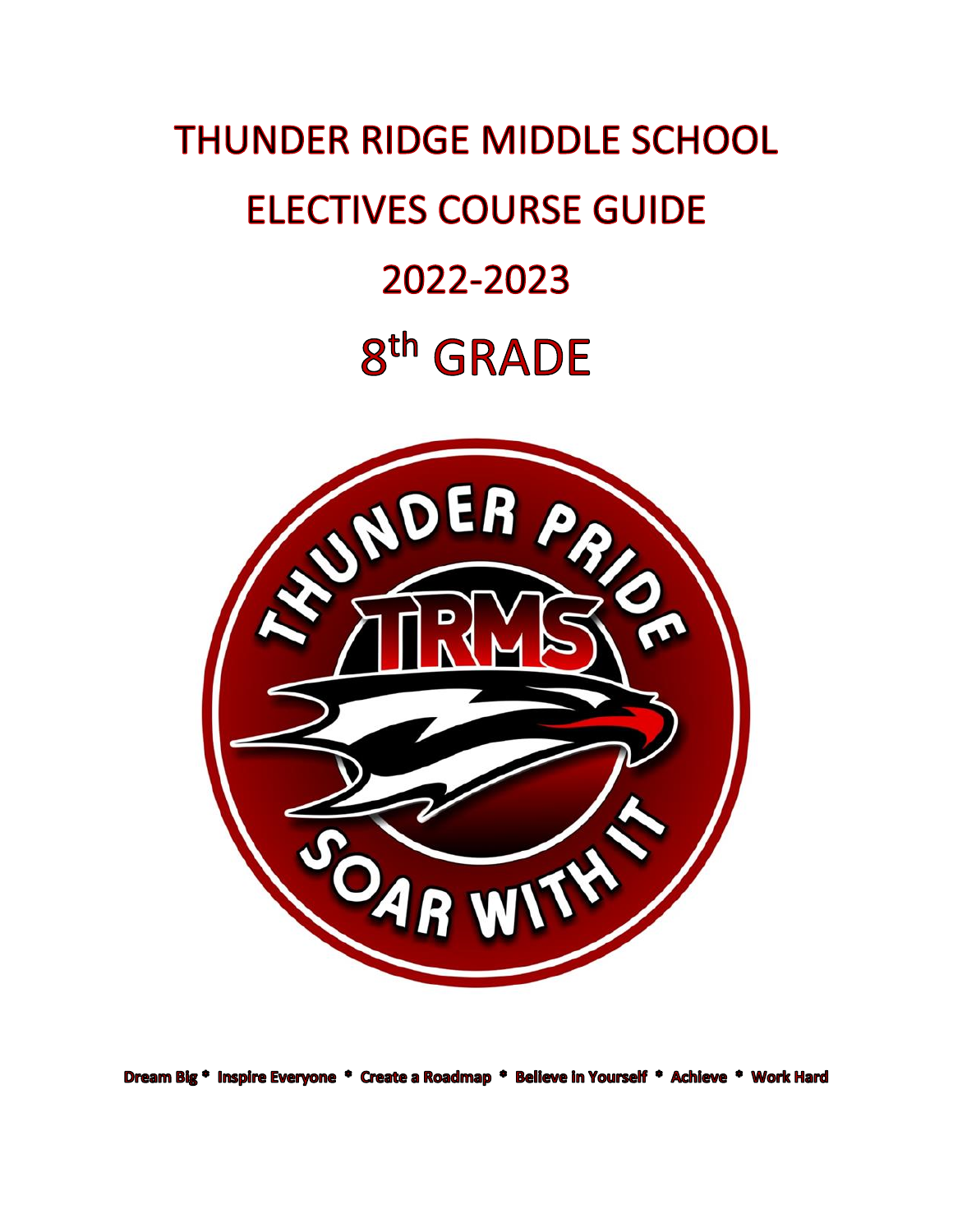# **THUNDER RIDGE MIDDLE SCHOOL ELECTIVES COURSE GUIDE** 2022-2023 8<sup>th</sup> GRADE



Dream Big \* Inspire Everyone \* Create a Roadmap \* Believe in Yourself \* Achieve \* Work Hard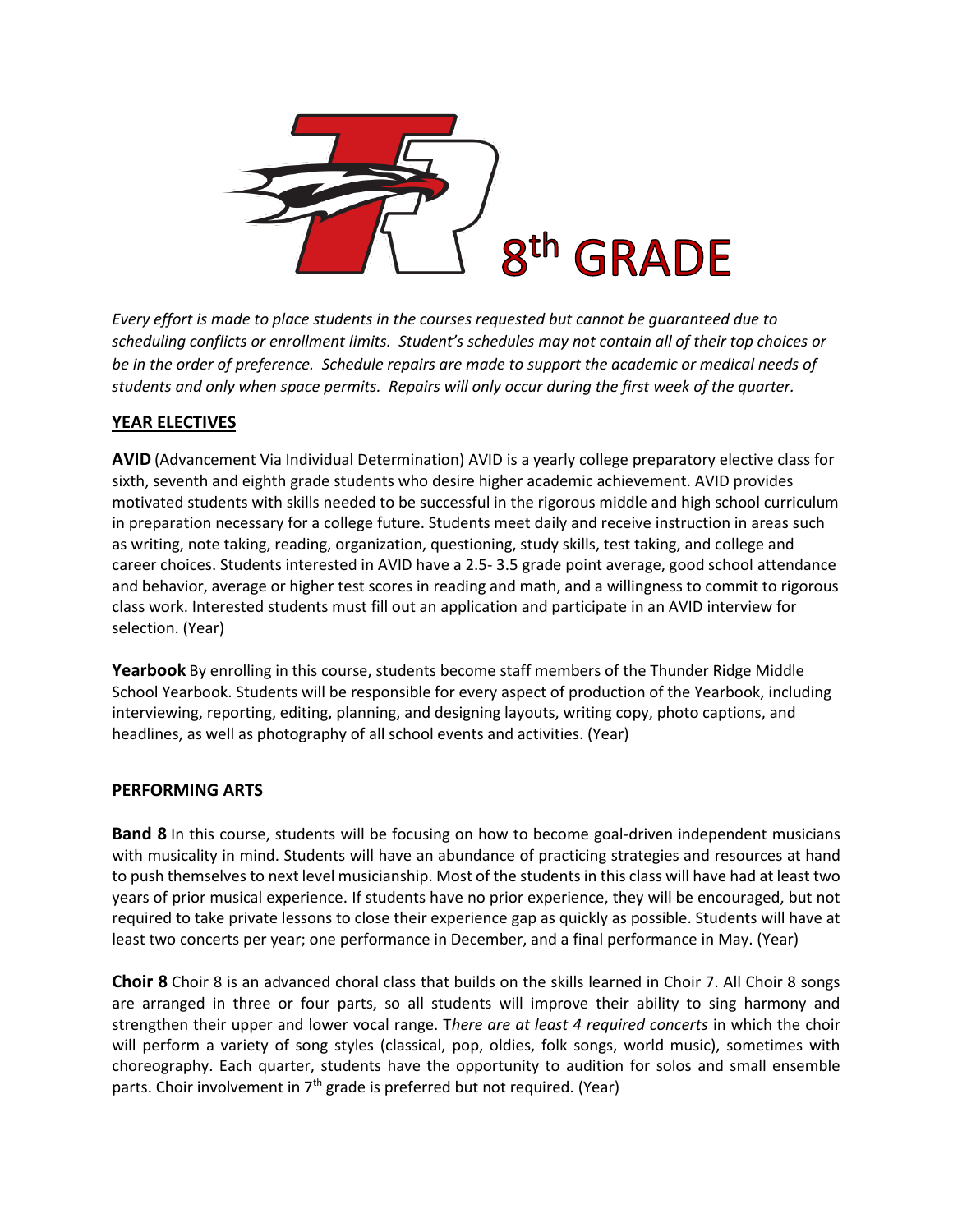

*Every effort is made to place students in the courses requested but cannot be guaranteed due to scheduling conflicts or enrollment limits. Student's schedules may not contain all of their top choices or be in the order of preference. Schedule repairs are made to support the academic or medical needs of students and only when space permits. Repairs will only occur during the first week of the quarter.*

## **YEAR ELECTIVES**

**AVID** (Advancement Via Individual Determination) AVID is a yearly college preparatory elective class for sixth, seventh and eighth grade students who desire higher academic achievement. AVID provides motivated students with skills needed to be successful in the rigorous middle and high school curriculum in preparation necessary for a college future. Students meet daily and receive instruction in areas such as writing, note taking, reading, organization, questioning, study skills, test taking, and college and career choices. Students interested in AVID have a 2.5- 3.5 grade point average, good school attendance and behavior, average or higher test scores in reading and math, and a willingness to commit to rigorous class work. Interested students must fill out an application and participate in an AVID interview for selection. (Year)

**Yearbook** By enrolling in this course, students become staff members of the Thunder Ridge Middle School Yearbook. Students will be responsible for every aspect of production of the Yearbook, including interviewing, reporting, editing, planning, and designing layouts, writing copy, photo captions, and headlines, as well as photography of all school events and activities. (Year)

### **PERFORMING ARTS**

**Band 8** In this course, students will be focusing on how to become goal-driven independent musicians with musicality in mind. Students will have an abundance of practicing strategies and resources at hand to push themselves to next level musicianship. Most of the students in this class will have had at least two years of prior musical experience. If students have no prior experience, they will be encouraged, but not required to take private lessons to close their experience gap as quickly as possible. Students will have at least two concerts per year; one performance in December, and a final performance in May. (Year)

**Choir 8** Choir 8 is an advanced choral class that builds on the skills learned in Choir 7. All Choir 8 songs are arranged in three or four parts, so all students will improve their ability to sing harmony and strengthen their upper and lower vocal range. T*here are at least 4 required concerts* in which the choir will perform a variety of song styles (classical, pop, oldies, folk songs, world music), sometimes with choreography. Each quarter, students have the opportunity to audition for solos and small ensemble parts. Choir involvement in 7<sup>th</sup> grade is preferred but not required. (Year)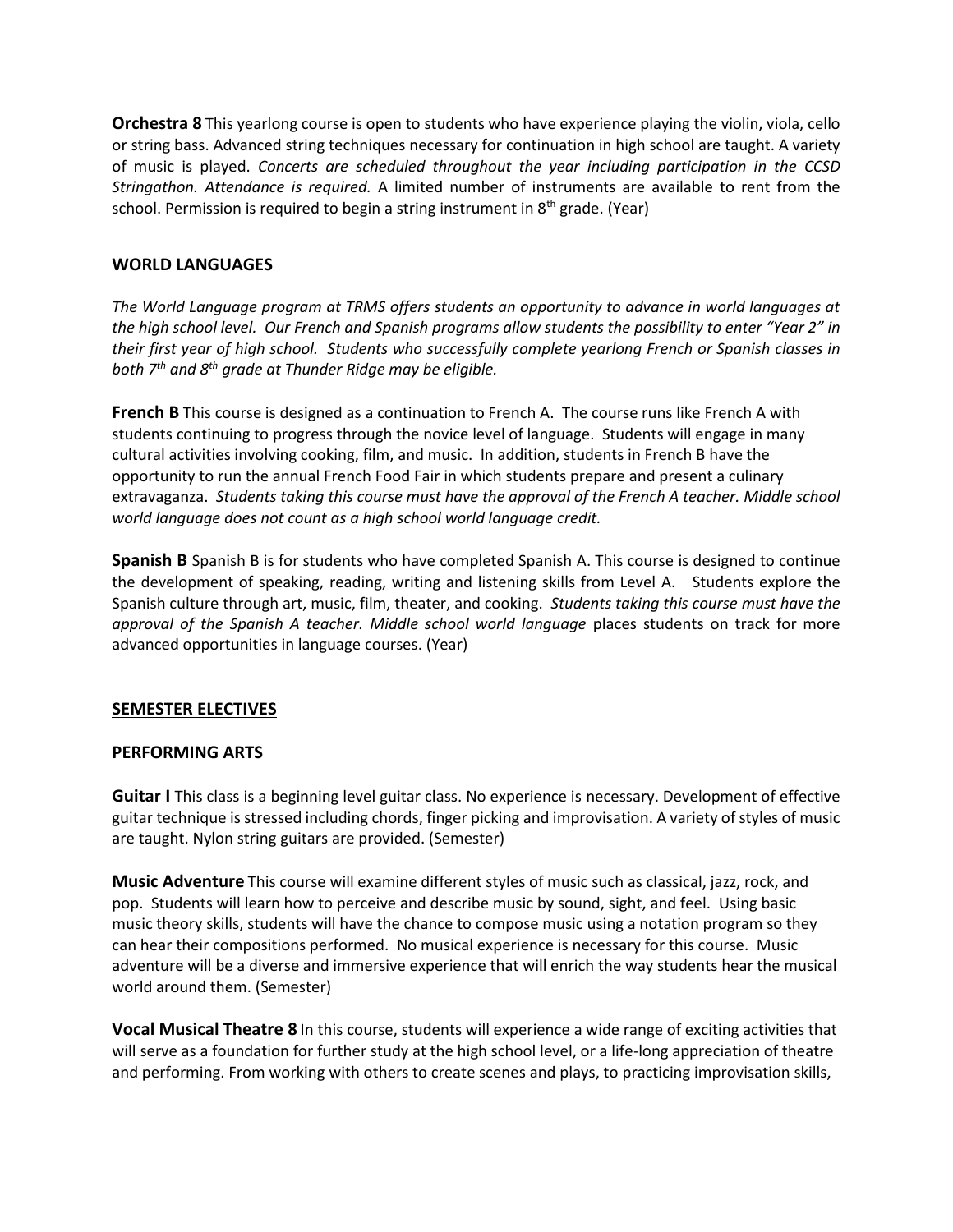**Orchestra 8** This yearlong course is open to students who have experience playing the violin, viola, cello or string bass. Advanced string techniques necessary for continuation in high school are taught. A variety of music is played. *Concerts are scheduled throughout the year including participation in the CCSD Stringathon. Attendance is required.* A limited number of instruments are available to rent from the school. Permission is required to begin a string instrument in 8<sup>th</sup> grade. (Year)

#### **WORLD LANGUAGES**

*The World Language program at TRMS offers students an opportunity to advance in world languages at the high school level. Our French and Spanish programs allow students the possibility to enter "Year 2" in their first year of high school. Students who successfully complete yearlong French or Spanish classes in both 7th and 8th grade at Thunder Ridge may be eligible.*

**French B** This course is designed as a continuation to French A. The course runs like French A with students continuing to progress through the novice level of language. Students will engage in many cultural activities involving cooking, film, and music. In addition, students in French B have the opportunity to run the annual French Food Fair in which students prepare and present a culinary extravaganza. *Students taking this course must have the approval of the French A teacher. Middle school world language does not count as a high school world language credit.*

**Spanish B** Spanish B is for students who have completed Spanish A. This course is designed to continue the development of speaking, reading, writing and listening skills from Level A. Students explore the Spanish culture through art, music, film, theater, and cooking. *Students taking this course must have the approval of the Spanish A teacher. Middle school world language* places students on track for more advanced opportunities in language courses. (Year)

### **SEMESTER ELECTIVES**

#### **PERFORMING ARTS**

**Guitar I** This class is a beginning level guitar class. No experience is necessary. Development of effective guitar technique is stressed including chords, finger picking and improvisation. A variety of styles of music are taught. Nylon string guitars are provided. (Semester)

**Music Adventure** This course will examine different styles of music such as classical, jazz, rock, and pop. Students will learn how to perceive and describe music by sound, sight, and feel. Using basic music theory skills, students will have the chance to compose music using a notation program so they can hear their compositions performed. No musical experience is necessary for this course. Music adventure will be a diverse and immersive experience that will enrich the way students hear the musical world around them. (Semester)

**Vocal Musical Theatre 8** In this course, students will experience a wide range of exciting activities that will serve as a foundation for further study at the high school level, or a life-long appreciation of theatre and performing. From working with others to create scenes and plays, to practicing improvisation skills,